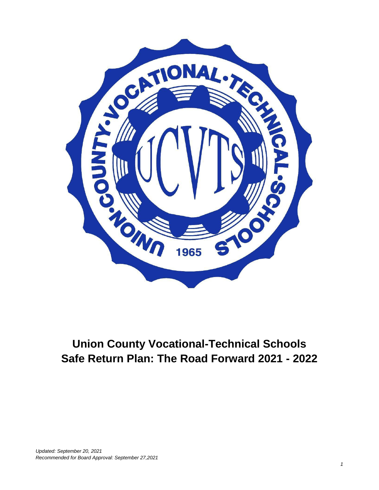

## **Union County Vocational-Technical Schools Safe Return Plan: The Road Forward 2021 - 2022**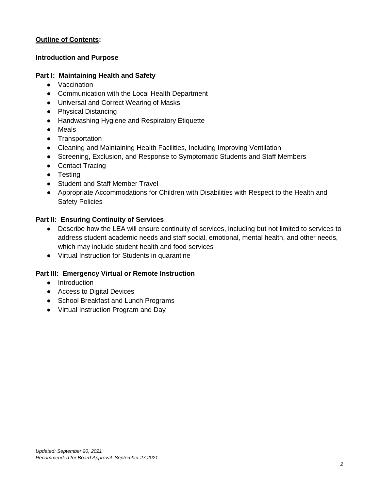#### **Outline of Contents:**

#### **Introduction and Purpose**

#### **Part I: Maintaining Health and Safety**

- Vaccination
- Communication with the Local Health Department
- Universal and Correct Wearing of Masks
- Physical Distancing
- Handwashing Hygiene and Respiratory Etiquette
- Meals
- Transportation
- Cleaning and Maintaining Health Facilities, Including Improving Ventilation
- Screening, Exclusion, and Response to Symptomatic Students and Staff Members
- Contact Tracing
- Testing
- Student and Staff Member Travel
- Appropriate Accommodations for Children with Disabilities with Respect to the Health and Safety Policies

#### **Part II: Ensuring Continuity of Services**

- Describe how the LEA will ensure continuity of services, including but not limited to services to address student academic needs and staff social, emotional, mental health, and other needs, which may include student health and food services
- Virtual Instruction for Students in quarantine

#### **Part III: Emergency Virtual or Remote Instruction**

- Introduction
- Access to Digital Devices
- School Breakfast and Lunch Programs
- Virtual Instruction Program and Day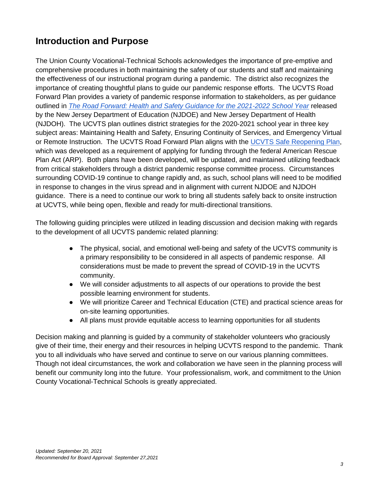## **Introduction and Purpose**

The Union County Vocational-Technical Schools acknowledges the importance of pre-emptive and comprehensive procedures in both maintaining the safety of our students and staff and maintaining the effectiveness of our instructional program during a pandemic. The district also recognizes the importance of creating thoughtful plans to guide our pandemic response efforts. The UCVTS Road Forward Plan provides a variety of pandemic response information to stakeholders, as per guidance outlined in *[The Road Forward: Health and Safety Guidance for the 2021-2022 School Year](https://www.nj.gov/education/roadforward/docs/HealthAndSafetyGuidanceSY2122.pdf)* released by the New Jersey Department of Education (NJDOE) and New Jersey Department of Health (NJDOH). The UCVTS plan outlines district strategies for the 2020-2021 school year in three key subject areas: Maintaining Health and Safety, Ensuring Continuity of Services, and Emergency Virtual or Remote Instruction. The UCVTS Road Forward Plan aligns with the [UCVTS Safe Reopening Plan,](https://www.ucvts.tec.nj.us/Page/1085) which was developed as a requirement of applying for funding through the federal American Rescue Plan Act (ARP). Both plans have been developed, will be updated, and maintained utilizing feedback from critical stakeholders through a district pandemic response committee process. Circumstances surrounding COVID-19 continue to change rapidly and, as such, school plans will need to be modified in response to changes in the virus spread and in alignment with current NJDOE and NJDOH guidance. There is a need to continue our work to bring all students safely back to onsite instruction at UCVTS, while being open, flexible and ready for multi-directional transitions.

The following guiding principles were utilized in leading discussion and decision making with regards to the development of all UCVTS pandemic related planning:

- The physical, social, and emotional well-being and safety of the UCVTS community is a primary responsibility to be considered in all aspects of pandemic response. All considerations must be made to prevent the spread of COVID-19 in the UCVTS community.
- We will consider adjustments to all aspects of our operations to provide the best possible learning environment for students.
- We will prioritize Career and Technical Education (CTE) and practical science areas for on-site learning opportunities.
- All plans must provide equitable access to learning opportunities for all students

Decision making and planning is guided by a community of stakeholder volunteers who graciously give of their time, their energy and their resources in helping UCVTS respond to the pandemic. Thank you to all individuals who have served and continue to serve on our various planning committees. Though not ideal circumstances, the work and collaboration we have seen in the planning process will benefit our community long into the future. Your professionalism, work, and commitment to the Union County Vocational-Technical Schools is greatly appreciated.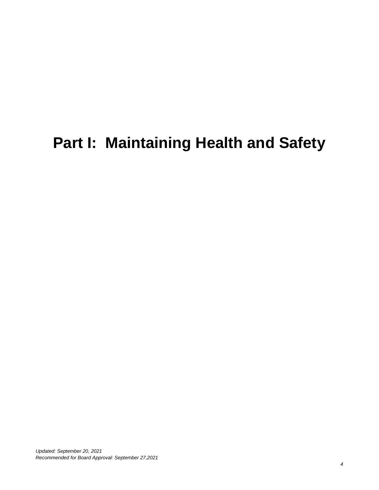## **Part I: Maintaining Health and Safety**

*Updated: September 20, 2021 Recommended for Board Approval: September 27,2021*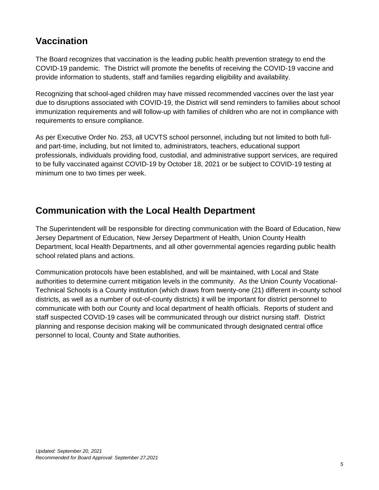#### **Vaccination**

The Board recognizes that vaccination is the leading public health prevention strategy to end the COVID-19 pandemic. The District will promote the benefits of receiving the COVID-19 vaccine and provide information to students, staff and families regarding eligibility and availability.

Recognizing that school-aged children may have missed recommended vaccines over the last year due to disruptions associated with COVID-19, the District will send reminders to families about school immunization requirements and will follow-up with families of children who are not in compliance with requirements to ensure compliance.

As per Executive Order No. 253, all UCVTS school personnel, including but not limited to both fulland part-time, including, but not limited to, administrators, teachers, educational support professionals, individuals providing food, custodial, and administrative support services, are required to be fully vaccinated against COVID-19 by October 18, 2021 or be subject to COVID-19 testing at minimum one to two times per week.

#### **Communication with the Local Health Department**

The Superintendent will be responsible for directing communication with the Board of Education, New Jersey Department of Education, New Jersey Department of Health, Union County Health Department, local Health Departments, and all other governmental agencies regarding public health school related plans and actions.

Communication protocols have been established, and will be maintained, with Local and State authorities to determine current mitigation levels in the community. As the Union County Vocational-Technical Schools is a County institution (which draws from twenty-one (21) different in-county school districts, as well as a number of out-of-county districts) it will be important for district personnel to communicate with both our County and local department of health officials. Reports of student and staff suspected COVID-19 cases will be communicated through our district nursing staff. District planning and response decision making will be communicated through designated central office personnel to local, County and State authorities.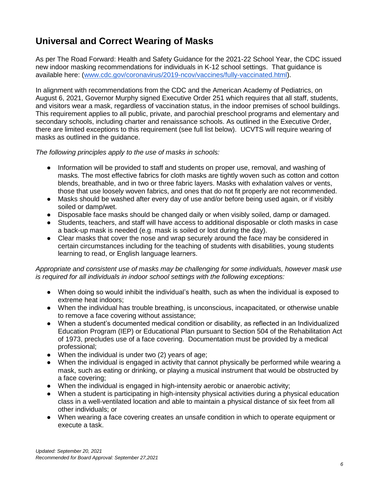## **Universal and Correct Wearing of Masks**

As per The Road Forward: Health and Safety Guidance for the 2021-22 School Year, the CDC issued new indoor masking recommendations for individuals in K-12 school settings. That guidance is available here: [\(www.cdc.gov/coronavirus/2019-ncov/vaccines/fully-vaccinated.html\)](http://www.cdc.gov/coronavirus/2019-ncov/vaccines/fully-vaccinated.html).

In alignment with recommendations from the CDC and the American Academy of Pediatrics, on August 6, 2021, Governor Murphy signed Executive Order 251 which requires that all staff, students, and visitors wear a mask, regardless of vaccination status, in the indoor premises of school buildings. This requirement applies to all public, private, and parochial preschool programs and elementary and secondary schools, including charter and renaissance schools. As outlined in the Executive Order, there are limited exceptions to this requirement (see full list below). UCVTS will require wearing of masks as outlined in the guidance.

*The following principles apply to the use of masks in schools:*

- Information will be provided to staff and students on proper use, removal, and washing of masks. The most effective fabrics for cloth masks are tightly woven such as cotton and cotton blends, breathable, and in two or three fabric layers. Masks with exhalation valves or vents, those that use loosely woven fabrics, and ones that do not fit properly are not recommended.
- Masks should be washed after every day of use and/or before being used again, or if visibly soiled or damp/wet.
- Disposable face masks should be changed daily or when visibly soiled, damp or damaged.
- Students, teachers, and staff will have access to additional disposable or cloth masks in case a back-up mask is needed (e.g. mask is soiled or lost during the day).
- Clear masks that cover the nose and wrap securely around the face may be considered in certain circumstances including for the teaching of students with disabilities, young students learning to read, or English language learners.

*Appropriate and consistent use of masks may be challenging for some individuals, however mask use is required for all individuals in indoor school settings with the following exceptions:*

- When doing so would inhibit the individual's health, such as when the individual is exposed to extreme heat indoors;
- When the individual has trouble breathing, is unconscious, incapacitated, or otherwise unable to remove a face covering without assistance;
- When a student's documented medical condition or disability, as reflected in an Individualized Education Program (IEP) or Educational Plan pursuant to Section 504 of the Rehabilitation Act of 1973, precludes use of a face covering. Documentation must be provided by a medical professional;
- When the individual is under two (2) years of age;
- When the individual is engaged in activity that cannot physically be performed while wearing a mask, such as eating or drinking, or playing a musical instrument that would be obstructed by a face covering;
- When the individual is engaged in high-intensity aerobic or anaerobic activity;
- When a student is participating in high-intensity physical activities during a physical education class in a well-ventilated location and able to maintain a physical distance of six feet from all other individuals; or
- When wearing a face covering creates an unsafe condition in which to operate equipment or execute a task.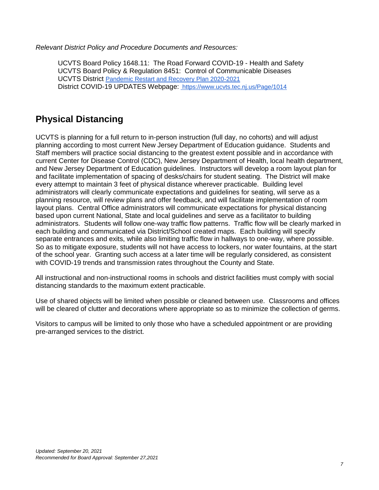*Relevant District Policy and Procedure Documents and Resources:*

UCVTS Board Policy 1648.11: The Road Forward COVID-19 - Health and Safety UCVTS Board Policy & Regulation 8451: Control of Communicable Diseases UCVTS District [Pandemic Restart and Recovery Plan 2020-2021](https://docs.google.com/document/u/0/d/1z-2r1S_n_RYPlURb5JYUgUWVsrvTkexLQM6g8BrSZwA/edit) District COVID-19 UPDATES Webpage: <https://www.ucvts.tec.nj.us/Page/1014>

#### **Physical Distancing**

UCVTS is planning for a full return to in-person instruction (full day, no cohorts) and will adjust planning according to most current New Jersey Department of Education guidance. Students and Staff members will practice social distancing to the greatest extent possible and in accordance with current Center for Disease Control (CDC), New Jersey Department of Health, local health department, and New Jersey Department of Education guidelines. Instructors will develop a room layout plan for and facilitate implementation of spacing of desks/chairs for student seating. The District will make every attempt to maintain 3 feet of physical distance wherever practicable. Building level administrators will clearly communicate expectations and guidelines for seating, will serve as a planning resource, will review plans and offer feedback, and will facilitate implementation of room layout plans. Central Office administrators will communicate expectations for physical distancing based upon current National, State and local guidelines and serve as a facilitator to building administrators. Students will follow one-way traffic flow patterns. Traffic flow will be clearly marked in each building and communicated via District/School created maps. Each building will specify separate entrances and exits, while also limiting traffic flow in hallways to one-way, where possible. So as to mitigate exposure, students will not have access to lockers, nor water fountains, at the start of the school year. Granting such access at a later time will be regularly considered, as consistent with COVID-19 trends and transmission rates throughout the County and State.

All instructional and non-instructional rooms in schools and district facilities must comply with social distancing standards to the maximum extent practicable.

Use of shared objects will be limited when possible or cleaned between use. Classrooms and offices will be cleared of clutter and decorations where appropriate so as to minimize the collection of germs.

Visitors to campus will be limited to only those who have a scheduled appointment or are providing pre-arranged services to the district.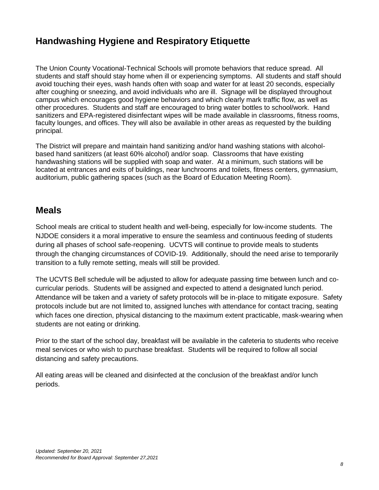#### **Handwashing Hygiene and Respiratory Etiquette**

The Union County Vocational-Technical Schools will promote behaviors that reduce spread. All students and staff should stay home when ill or experiencing symptoms. All students and staff should avoid touching their eyes, wash hands often with soap and water for at least 20 seconds, especially after coughing or sneezing, and avoid individuals who are ill. Signage will be displayed throughout campus which encourages good hygiene behaviors and which clearly mark traffic flow, as well as other procedures. Students and staff are encouraged to bring water bottles to school/work. Hand sanitizers and EPA-registered disinfectant wipes will be made available in classrooms, fitness rooms, faculty lounges, and offices. They will also be available in other areas as requested by the building principal.

The District will prepare and maintain hand sanitizing and/or hand washing stations with alcoholbased hand sanitizers (at least 60% alcohol) and/or soap. Classrooms that have existing handwashing stations will be supplied with soap and water. At a minimum, such stations will be located at entrances and exits of buildings, near lunchrooms and toilets, fitness centers, gymnasium, auditorium, public gathering spaces (such as the Board of Education Meeting Room).

#### **Meals**

School meals are critical to student health and well-being, especially for low-income students. The NJDOE considers it a moral imperative to ensure the seamless and continuous feeding of students during all phases of school safe-reopening. UCVTS will continue to provide meals to students through the changing circumstances of COVID-19. Additionally, should the need arise to temporarily transition to a fully remote setting, meals will still be provided.

The UCVTS Bell schedule will be adjusted to allow for adequate passing time between lunch and cocurricular periods. Students will be assigned and expected to attend a designated lunch period. Attendance will be taken and a variety of safety protocols will be in-place to mitigate exposure. Safety protocols include but are not limited to, assigned lunches with attendance for contact tracing, seating which faces one direction, physical distancing to the maximum extent practicable, mask-wearing when students are not eating or drinking.

Prior to the start of the school day, breakfast will be available in the cafeteria to students who receive meal services or who wish to purchase breakfast. Students will be required to follow all social distancing and safety precautions.

All eating areas will be cleaned and disinfected at the conclusion of the breakfast and/or lunch periods.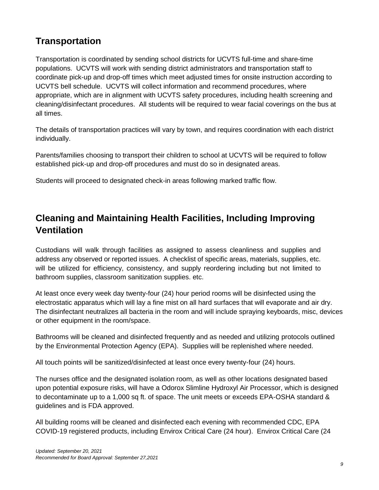#### **Transportation**

Transportation is coordinated by sending school districts for UCVTS full-time and share-time populations. UCVTS will work with sending district administrators and transportation staff to coordinate pick-up and drop-off times which meet adjusted times for onsite instruction according to UCVTS bell schedule. UCVTS will collect information and recommend procedures, where appropriate, which are in alignment with UCVTS safety procedures, including health screening and cleaning/disinfectant procedures. All students will be required to wear facial coverings on the bus at all times.

The details of transportation practices will vary by town, and requires coordination with each district individually.

Parents/families choosing to transport their children to school at UCVTS will be required to follow established pick-up and drop-off procedures and must do so in designated areas.

Students will proceed to designated check-in areas following marked traffic flow.

### **Cleaning and Maintaining Health Facilities, Including Improving Ventilation**

Custodians will walk through facilities as assigned to assess cleanliness and supplies and address any observed or reported issues. A checklist of specific areas, materials, supplies, etc. will be utilized for efficiency, consistency, and supply reordering including but not limited to bathroom supplies, classroom sanitization supplies. etc.

At least once every week day twenty-four (24) hour period rooms will be disinfected using the electrostatic apparatus which will lay a fine mist on all hard surfaces that will evaporate and air dry. The disinfectant neutralizes all bacteria in the room and will include spraying keyboards, misc, devices or other equipment in the room/space.

Bathrooms will be cleaned and disinfected frequently and as needed and utilizing protocols outlined by the Environmental Protection Agency (EPA). Supplies will be replenished where needed.

All touch points will be sanitized/disinfected at least once every twenty-four (24) hours.

The nurses office and the designated isolation room, as well as other locations designated based upon potential exposure risks, will have a Odorox Slimline Hydroxyl Air Processor, which is designed to decontaminate up to a 1,000 sq ft. of space. The unit meets or exceeds EPA-OSHA standard & guidelines and is FDA approved.

All building rooms will be cleaned and disinfected each evening with recommended CDC, EPA COVID-19 registered products, including Envirox Critical Care (24 hour). Envirox Critical Care (24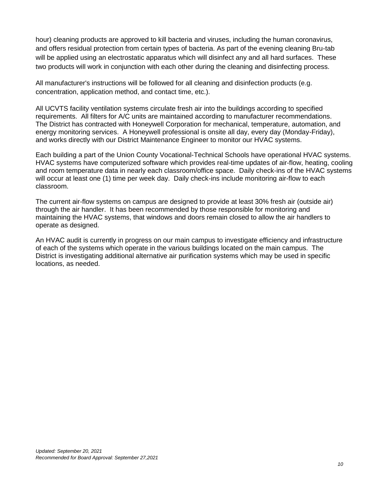hour) cleaning products are approved to kill bacteria and viruses, including the human coronavirus, and offers residual protection from certain types of bacteria. As part of the evening cleaning Bru-tab will be applied using an electrostatic apparatus which will disinfect any and all hard surfaces. These two products will work in conjunction with each other during the cleaning and disinfecting process.

All manufacturer's instructions will be followed for all cleaning and disinfection products (e.g. concentration, application method, and contact time, etc.).

All UCVTS facility ventilation systems circulate fresh air into the buildings according to specified requirements. All filters for A/C units are maintained according to manufacturer recommendations. The District has contracted with Honeywell Corporation for mechanical, temperature, automation, and energy monitoring services. A Honeywell professional is onsite all day, every day (Monday-Friday), and works directly with our District Maintenance Engineer to monitor our HVAC systems.

Each building a part of the Union County Vocational-Technical Schools have operational HVAC systems. HVAC systems have computerized software which provides real-time updates of air-flow, heating, cooling and room temperature data in nearly each classroom/office space. Daily check-ins of the HVAC systems will occur at least one (1) time per week day. Daily check-ins include monitoring air-flow to each classroom.

The current air-flow systems on campus are designed to provide at least 30% fresh air (outside air) through the air handler. It has been recommended by those responsible for monitoring and maintaining the HVAC systems, that windows and doors remain closed to allow the air handlers to operate as designed.

An HVAC audit is currently in progress on our main campus to investigate efficiency and infrastructure of each of the systems which operate in the various buildings located on the main campus. The District is investigating additional alternative air purification systems which may be used in specific locations, as needed.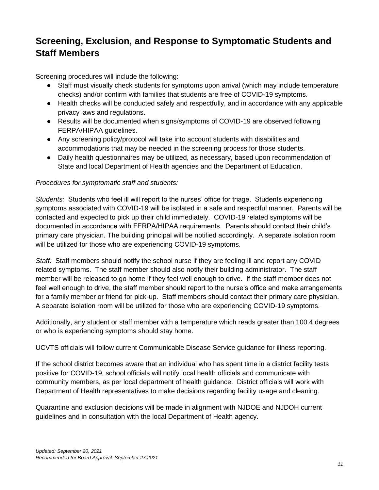## **Screening, Exclusion, and Response to Symptomatic Students and Staff Members**

Screening procedures will include the following:

- Staff must visually check students for symptoms upon arrival (which may include temperature checks) and/or confirm with families that students are free of COVID-19 symptoms.
- Health checks will be conducted safely and respectfully, and in accordance with any applicable privacy laws and regulations.
- Results will be documented when signs/symptoms of COVID-19 are observed following FERPA/HIPAA guidelines.
- Any screening policy/protocol will take into account students with disabilities and accommodations that may be needed in the screening process for those students.
- Daily health questionnaires may be utilized, as necessary, based upon recommendation of State and local Department of Health agencies and the Department of Education.

#### *Procedures for symptomatic staff and students:*

*Students:* Students who feel ill will report to the nurses' office for triage. Students experiencing symptoms associated with COVID-19 will be isolated in a safe and respectful manner. Parents will be contacted and expected to pick up their child immediately. COVID-19 related symptoms will be documented in accordance with FERPA/HIPAA requirements. Parents should contact their child's primary care physician. The building principal will be notified accordingly. A separate isolation room will be utilized for those who are experiencing COVID-19 symptoms.

*Staff:* Staff members should notify the school nurse if they are feeling ill and report any COVID related symptoms. The staff member should also notify their building administrator. The staff member will be released to go home if they feel well enough to drive. If the staff member does not feel well enough to drive, the staff member should report to the nurse's office and make arrangements for a family member or friend for pick-up. Staff members should contact their primary care physician. A separate isolation room will be utilized for those who are experiencing COVID-19 symptoms.

Additionally, any student or staff member with a temperature which reads greater than 100.4 degrees or who is experiencing symptoms should stay home.

UCVTS officials will follow current Communicable Disease Service guidance for illness reporting.

If the school district becomes aware that an individual who has spent time in a district facility tests positive for COVID-19, school officials will notify local health officials and communicate with community members, as per local department of health guidance. District officials will work with Department of Health representatives to make decisions regarding facility usage and cleaning.

Quarantine and exclusion decisions will be made in alignment with NJDOE and NJDOH current guidelines and in consultation with the local Department of Health agency.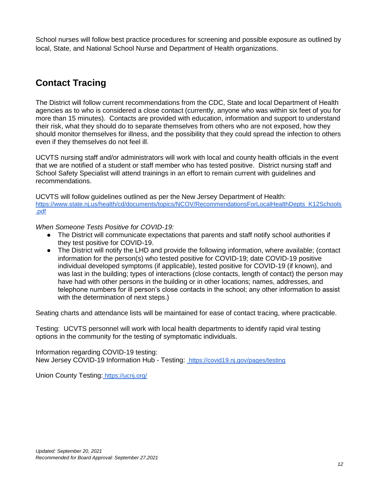School nurses will follow best practice procedures for screening and possible exposure as outlined by local, State, and National School Nurse and Department of Health organizations.

## **Contact Tracing**

The District will follow current recommendations from the CDC, State and local Department of Health agencies as to who is considered a close contact (currently, anyone who was within six feet of you for more than 15 minutes). Contacts are provided with education, information and support to understand their risk, what they should do to separate themselves from others who are not exposed, how they should monitor themselves for illness, and the possibility that they could spread the infection to others even if they themselves do not feel ill.

UCVTS nursing staff and/or administrators will work with local and county health officials in the event that we are notified of a student or staff member who has tested positive. District nursing staff and School Safety Specialist will attend trainings in an effort to remain current with guidelines and recommendations.

UCVTS will follow guidelines outlined as per the New Jersey Department of Health[:](https://www.state.nj.us/health/cd/documents/topics/NCOV/RecommendationsForLocalHealthDepts_K12Schools.pdf) [https://www.state.nj.us/health/cd/documents/topics/NCOV/RecommendationsForLocalHealthDepts\\_K12Schools](https://www.state.nj.us/health/cd/documents/topics/NCOV/RecommendationsForLocalHealthDepts_K12Schools.pdf) [.pdf](https://www.state.nj.us/health/cd/documents/topics/NCOV/RecommendationsForLocalHealthDepts_K12Schools.pdf)

*When Someone Tests Positive for COVID-19:*

- The District will communicate expectations that parents and staff notify school authorities if they test positive for COVID-19.
- The District will notify the LHD and provide the following information, where available; (contact information for the person(s) who tested positive for COVID-19; date COVID-19 positive individual developed symptoms (if applicable), tested positive for COVID-19 (if known), and was last in the building; types of interactions (close contacts, length of contact) the person may have had with other persons in the building or in other locations; names, addresses, and telephone numbers for ill person's close contacts in the school; any other information to assist with the determination of next steps.)

Seating charts and attendance lists will be maintained for ease of contact tracing, where practicable.

Testing: UCVTS personnel will work with local health departments to identify rapid viral testing options in the community for the testing of symptomatic individuals.

Information regarding COVID-19 testing: New Jersey COVID-19 Information Hub - Testing:<https://covid19.nj.gov/pages/testing>

Union County Testing[:](https://ucnj.org/) <https://ucnj.org/>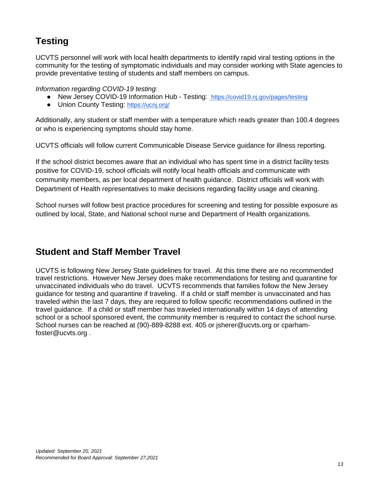## **Testing**

UCVTS personnel will work with local health departments to identify rapid viral testing options in the community for the testing of symptomatic individuals and may consider working with State agencies to provide preventative testing of students and staff members on campus.

*Information regarding COVID-19 testing:*

- ●New Jersey COVID-19 Information Hub Testing: <https://covid19.nj.gov/pages/testing>
- Union County Testing[:](https://ucnj.org/) <https://ucnj.org/>

Additionally, any student or staff member with a temperature which reads greater than 100.4 degrees or who is experiencing symptoms should stay home.

UCVTS officials will follow current Communicable Disease Service guidance for illness reporting.

If the school district becomes aware that an individual who has spent time in a district facility tests positive for COVID-19, school officials will notify local health officials and communicate with community members, as per local department of health guidance. District officials will work with Department of Health representatives to make decisions regarding facility usage and cleaning.

School nurses will follow best practice procedures for screening and testing for possible exposure as outlined by local, State, and National school nurse and Department of Health organizations.

#### **Student and Staff Member Travel**

UCVTS is following New Jersey State guidelines for travel. At this time there are no recommended travel restrictions. However New Jersey does make recommendations for testing and quarantine for unvaccinated individuals who do travel. UCVTS recommends that families follow the New Jersey guidance for testing and quarantine if traveling. If a child or staff member is unvaccinated and has traveled within the last 7 days, they are required to follow specific recommendations outlined in the travel guidance. If a child or staff member has traveled internationally within 14 days of attending school or a school sponsored event, the community member is required to contact the school nurse. School nurses can be reached at (90)-889-8288 ext. 405 or jsherer@ucvts.org or cparhamfoster@ucvts.org .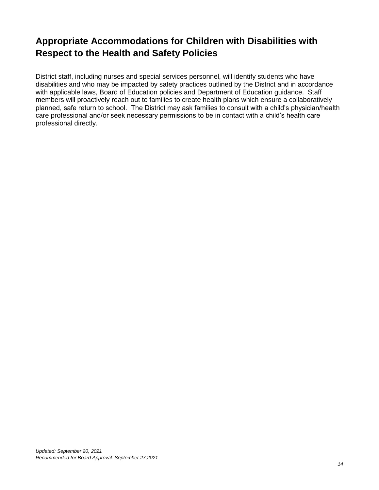## **Appropriate Accommodations for Children with Disabilities with Respect to the Health and Safety Policies**

District staff, including nurses and special services personnel, will identify students who have disabilities and who may be impacted by safety practices outlined by the District and in accordance with applicable laws, Board of Education policies and Department of Education guidance. Staff members will proactively reach out to families to create health plans which ensure a collaboratively planned, safe return to school. The District may ask families to consult with a child's physician/health care professional and/or seek necessary permissions to be in contact with a child's health care professional directly.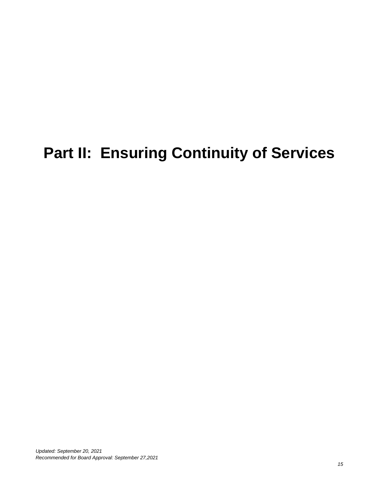# **Part II: Ensuring Continuity of Services**

*Updated: September 20, 2021 Recommended for Board Approval: September 27,2021*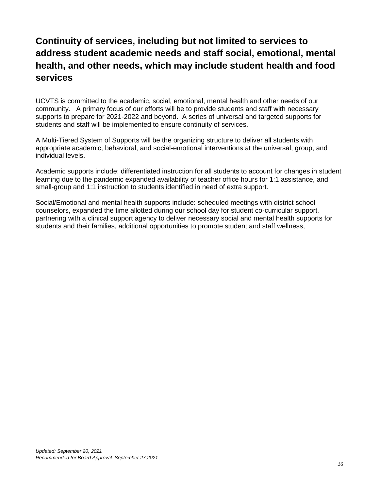## **Continuity of services, including but not limited to services to address student academic needs and staff social, emotional, mental health, and other needs, which may include student health and food services**

UCVTS is committed to the academic, social, emotional, mental health and other needs of our community. A primary focus of our efforts will be to provide students and staff with necessary supports to prepare for 2021-2022 and beyond. A series of universal and targeted supports for students and staff will be implemented to ensure continuity of services.

A Multi-Tiered System of Supports will be the organizing structure to deliver all students with appropriate academic, behavioral, and social-emotional interventions at the universal, group, and individual levels.

Academic supports include: differentiated instruction for all students to account for changes in student learning due to the pandemic expanded availability of teacher office hours for 1:1 assistance, and small-group and 1:1 instruction to students identified in need of extra support.

Social/Emotional and mental health supports include: scheduled meetings with district school counselors, expanded the time allotted during our school day for student co-curricular support, partnering with a clinical support agency to deliver necessary social and mental health supports for students and their families, additional opportunities to promote student and staff wellness,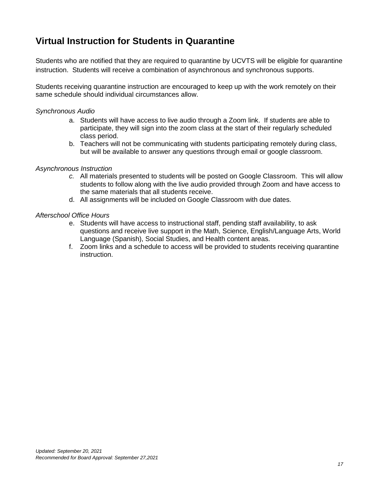#### **Virtual Instruction for Students in Quarantine**

Students who are notified that they are required to quarantine by UCVTS will be eligible for quarantine instruction. Students will receive a combination of asynchronous and synchronous supports.

Students receiving quarantine instruction are encouraged to keep up with the work remotely on their same schedule should individual circumstances allow.

#### *Synchronous Audio*

- a. Students will have access to live audio through a Zoom link. If students are able to participate, they will sign into the zoom class at the start of their regularly scheduled class period.
- b. Teachers will not be communicating with students participating remotely during class, but will be available to answer any questions through email or google classroom.

#### *Asynchronous Instruction*

- *c.* All materials presented to students will be posted on Google Classroom. This will allow students to follow along with the live audio provided through Zoom and have access to the same materials that all students receive.
- d. All assignments will be included on Google Classroom with due dates.

#### *Afterschool Office Hours*

- e. Students will have access to instructional staff, pending staff availability, to ask questions and receive live support in the Math, Science, English/Language Arts, World Language (Spanish), Social Studies, and Health content areas.
- f. Zoom links and a schedule to access will be provided to students receiving quarantine instruction.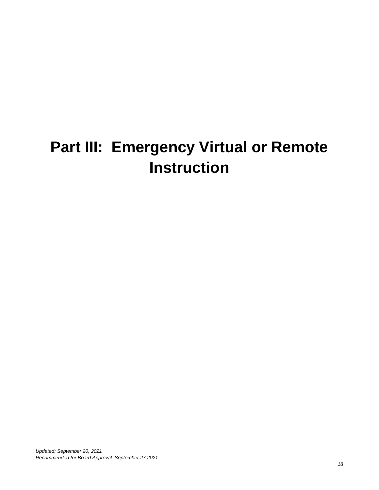# **Part III: Emergency Virtual or Remote Instruction**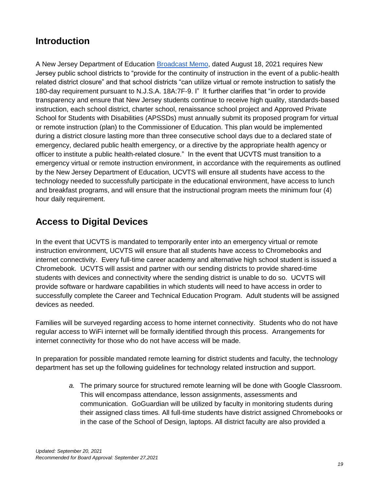#### **Introduction**

A New Jersey Department of Education [Broadcast Memo,](https://www.nj.gov/education/broadcasts/2021/aug/18/LEAGuidanceforChapter27EmergencyVirtualorRemoteInstructionProgramsforthe2021-2022SchoolYear.pdf) dated August 18, 2021 requires New Jersey public school districts to "provide for the continuity of instruction in the event of a public-health related district closure" and that school districts "can utilize virtual or remote instruction to satisfy the 180-day requirement pursuant to N.J.S.A. 18A:7F-9. I" It further clarifies that "in order to provide transparency and ensure that New Jersey students continue to receive high quality, standards-based instruction, each school district, charter school, renaissance school project and Approved Private School for Students with Disabilities (APSSDs) must annually submit its proposed program for virtual or remote instruction (plan) to the Commissioner of Education. This plan would be implemented during a district closure lasting more than three consecutive school days due to a declared state of emergency, declared public health emergency, or a directive by the appropriate health agency or officer to institute a public health-related closure." In the event that UCVTS must transition to a emergency virtual or remote instruction environment, in accordance with the requirements as outlined by the New Jersey Department of Education, UCVTS will ensure all students have access to the technology needed to successfully participate in the educational environment, have access to lunch and breakfast programs, and will ensure that the instructional program meets the minimum four (4) hour daily requirement.

## **Access to Digital Devices**

In the event that UCVTS is mandated to temporarily enter into an emergency virtual or remote instruction environment, UCVTS will ensure that all students have access to Chromebooks and internet connectivity. Every full-time career academy and alternative high school student is issued a Chromebook. UCVTS will assist and partner with our sending districts to provide shared-time students with devices and connectivity where the sending district is unable to do so. UCVTS will provide software or hardware capabilities in which students will need to have access in order to successfully complete the Career and Technical Education Program. Adult students will be assigned devices as needed.

Families will be surveyed regarding access to home internet connectivity. Students who do not have regular access to WiFi internet will be formally identified through this process. Arrangements for internet connectivity for those who do not have access will be made.

In preparation for possible mandated remote learning for district students and faculty, the technology department has set up the following guidelines for technology related instruction and support.

> *a.* The primary source for structured remote learning will be done with Google Classroom. This will encompass attendance, lesson assignments, assessments and communication. GoGuardian will be utilized by faculty in monitoring students during their assigned class times. All full-time students have district assigned Chromebooks or in the case of the School of Design, laptops. All district faculty are also provided a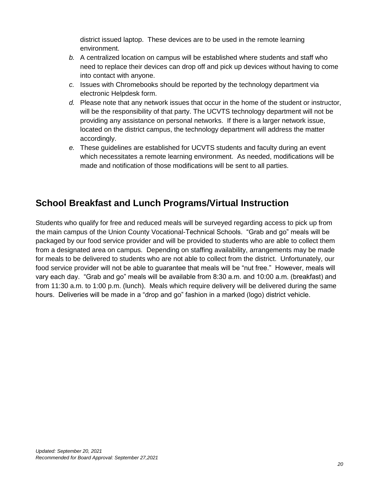district issued laptop. These devices are to be used in the remote learning environment.

- *b.* A centralized location on campus will be established where students and staff who need to replace their devices can drop off and pick up devices without having to come into contact with anyone.
- *c.* Issues with Chromebooks should be reported by the technology department via electronic Helpdesk form.
- *d.* Please note that any network issues that occur in the home of the student or instructor, will be the responsibility of that party. The UCVTS technology department will not be providing any assistance on personal networks. If there is a larger network issue, located on the district campus, the technology department will address the matter accordingly.
- *e.* These guidelines are established for UCVTS students and faculty during an event which necessitates a remote learning environment. As needed, modifications will be made and notification of those modifications will be sent to all parties.

#### **School Breakfast and Lunch Programs/Virtual Instruction**

Students who qualify for free and reduced meals will be surveyed regarding access to pick up from the main campus of the Union County Vocational-Technical Schools. "Grab and go" meals will be packaged by our food service provider and will be provided to students who are able to collect them from a designated area on campus. Depending on staffing availability, arrangements may be made for meals to be delivered to students who are not able to collect from the district. Unfortunately, our food service provider will not be able to guarantee that meals will be "nut free." However, meals will vary each day. "Grab and go" meals will be available from 8:30 a.m. and 10:00 a.m. (breakfast) and from 11:30 a.m. to 1:00 p.m. (lunch). Meals which require delivery will be delivered during the same hours. Deliveries will be made in a "drop and go" fashion in a marked (logo) district vehicle.